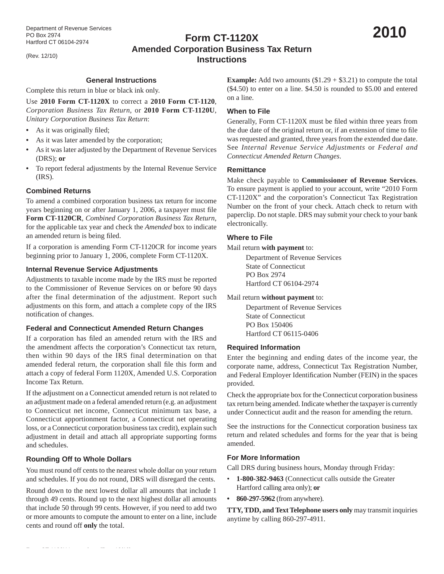(Rev. 12/10)

# **Form CT-1120X Amended Corporation Business Tax Return Instructions**

# **General Instructions**

Complete this return in blue or black ink only.

Use **2010 Form CT-1120X** to correct a **2010 Form CT-1120**, *Corporation Business Tax Return*, or **2010 Form CT-1120U**, *Unitary Corporation Business Tax Return*:

- As it was originally filed;
- As it was later amended by the corporation;
- As it was later adjusted by the Department of Revenue Services (DRS); **or**
- To report federal adjustments by the Internal Revenue Service (IRS).

#### **Combined Returns**

To amend a combined corporation business tax return for income years beginning on or after January 1, 2006, a taxpayer must file **Form CT-1120CR**, *Combined Corporation Business Tax Return*, for the applicable tax year and check the *Amended* box to indicate an amended return is being filed.

If a corporation is amending Form CT-1120CR for income years beginning prior to January 1, 2006, complete Form CT-1120X.

#### **Internal Revenue Service Adjustments**

Adjustments to taxable income made by the IRS must be reported to the Commissioner of Revenue Services on or before 90 days after the final determination of the adjustment. Report such adjustments on this form, and attach a complete copy of the IRS notification of changes.

#### **Federal and Connecticut Amended Return Changes**

If a corporation has filed an amended return with the IRS and the amendment affects the corporation's Connecticut tax return, then within 90 days of the IRS final determination on that amended federal return, the corporation shall file this form and attach a copy of federal Form 1120X, Amended U.S. Corporation Income Tax Return.

If the adjustment on a Connecticut amended return is not related to an adjustment made on a federal amended return (e.g. an adjustment to Connecticut net income, Connecticut minimum tax base, a Connecticut apportionment factor, a Connecticut net operating loss, or a Connecticut corporation business tax credit), explain such adjustment in detail and attach all appropriate supporting forms and schedules.

# **Rounding Off to Whole Dollars**

You must round off cents to the nearest whole dollar on your return and schedules. If you do not round, DRS will disregard the cents.

Round down to the next lowest dollar all amounts that include 1 through 49 cents. Round up to the next highest dollar all amounts that include 50 through 99 cents. However, if you need to add two or more amounts to compute the amount to enter on a line, include cents and round off **only** the total.

**Example:** Add two amounts  $(\$1.29 + \$3.21)$  to compute the total (\$4.50) to enter on a line. \$4.50 is rounded to \$5.00 and entered on a line.

#### **When to File**

Generally, Form CT-1120X must be filed within three years from the due date of the original return or, if an extension of time to file was requested and granted, three years from the extended due date. See *Internal Revenue Service Adjustments* or *Federal and Connecticut Amended Return Changes*.

#### **Remittance**

Make check payable to **Commissioner of Revenue Services**. To ensure payment is applied to your account, write "2010 Form CT-1120X" and the corporation's Connecticut Tax Registration Number on the front of your check. Attach check to return with paperclip. Do not staple. DRS may submit your check to your bank electronically.

#### **Where to File**

#### Mail return **with payment** to:

 Department of Revenue Services State of Connecticut PO Box 2974 Hartford CT 06104-2974

#### Mail return **without payment** to:

 Department of Revenue Services State of Connecticut PO Box 150406 Hartford CT 06115-0406

#### **Required Information**

Enter the beginning and ending dates of the income year, the corporate name, address, Connecticut Tax Registration Number, and Federal Employer Identification Number (FEIN) in the spaces provided.

Check the appropriate box for the Connecticut corporation business tax return being amended. Indicate whether the taxpayer is currently under Connecticut audit and the reason for amending the return.

See the instructions for the Connecticut corporation business tax return and related schedules and forms for the year that is being amended.

#### **For More Information**

Call DRS during business hours, Monday through Friday:

- **1-800-382-9463** (Connecticut calls outside the Greater Hartford calling area only); **or**
- **860-297-5962** (from anywhere).

**TTY, TDD, and Text Telephone users only** may transmit inquiries anytime by calling 860-297-4911.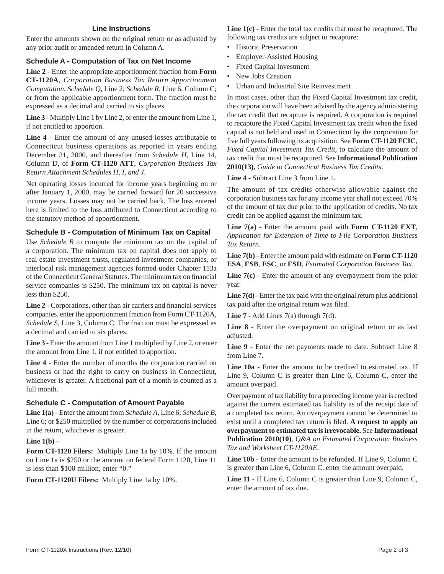#### **Line Instructions**

Enter the amounts shown on the original return or as adjusted by any prior audit or amended return in Column A.

## **Schedule A - Computation of Tax on Net Income**

**Line 2** - Enter the appropriate apportionment fraction from **Form CT-1120A**, *Corporation Business Tax Return Apportionment Computation*, *Schedule Q*, Line 2; *Schedule R*, Line 6, Column C; or from the applicable apportionment form. The fraction must be expressed as a decimal and carried to six places.

**Line 3** - Multiply Line 1 by Line 2, or enter the amount from Line 1, if not entitled to apportion.

**Line 4** - Enter the amount of any unused losses attributable to Connecticut business operations as reported in years ending December 31, 2000, and thereafter from *Schedule H*, Line 14, Column D, of **Form CT-1120 ATT**, *Corporation Business Tax Return Attachment Schedules H, I, and J*.

Net operating losses incurred for income years beginning on or after January 1, 2000, may be carried forward for 20 successive income years. Losses may not be carried back. The loss entered here is limited to the loss attributed to Connecticut according to the statutory method of apportionment.

## **Schedule B - Computation of Minimum Tax on Capital**

Use *Schedule B* to compute the minimum tax on the capital of a corporation. The minimum tax on capital does not apply to real estate investment trusts, regulated investment companies, or interlocal risk management agencies formed under Chapter 113a of the Connecticut General Statutes. The minimum tax on financial service companies is \$250. The minimum tax on capital is never less than \$250.

Line 2 - Corporations, other than air carriers and financial services companies, enter the apportionment fraction from Form CT-1120A, *Schedule S*, Line 3, Column C. The fraction must be expressed as a decimal and carried to six places.

**Line 3** - Enter the amount from Line 1 multiplied by Line 2, or enter the amount from Line 1, if not entitled to apportion.

**Line 4** - Enter the number of months the corporation carried on business or had the right to carry on business in Connecticut, whichever is greater. A fractional part of a month is counted as a full month.

# **Schedule C - Computation of Amount Payable**

**Line 1(a)** - Enter the amount from *Schedule A*, Line 6; *Schedule B*, Line 6; or \$250 multiplied by the number of corporations included in the return, whichever is greater.

#### **Line 1(b)** -

**Form CT-1120 Filers:** Multiply Line 1a by 10%. If the amount on Line 1a is \$250 or the amount on federal Form 1120, Line 11 is less than \$100 million, enter "0."

**Form CT-1120U Filers:** Multiply Line 1a by 10%.

Line  $1(c)$  - Enter the total tax credits that must be recaptured. The following tax credits are subject to recapture:

- Historic Preservation
- Employer-Assisted Housing
- Fixed Capital Investment
- New Jobs Creation
- Urban and Industrial Site Reinvestment

In most cases, other than the Fixed Capital Investment tax credit, the corporation will have been advised by the agency administering the tax credit that recapture is required. A corporation is required to recapture the Fixed Capital Investment tax credit when the fixed capital is not held and used in Connecticut by the corporation for five full years following its acquisition. See **Form CT-1120 FCIC**, *Fixed Capital Investment Tax Credit*, to calculate the amount of tax credit that must be recaptured. See **Informational Publication 2010(13)**, *Guide to Connecticut Business Tax Credits*.

**Line 4** - Subtract Line 3 from Line 1.

The amount of tax credits otherwise allowable against the corporation business tax for any income year shall not exceed 70% of the amount of tax due prior to the application of credits. No tax credit can be applied against the minimum tax.

**Line 7(a)** - Enter the amount paid with **Form CT-1120 EXT**, *Application for Extension of Time to File Corporation Business Tax Return*.

**Line 7(b)** - Enter the amount paid with estimate on **Form CT-1120 ESA**, **ESB**, **ESC**, or **ESD**, *Estimated Corporation Business Tax*.

**Line 7(c)** - Enter the amount of any overpayment from the prior year.

Line 7(d) - Enter the tax paid with the original return plus additional tax paid after the original return was filed.

**Line 7** - Add Lines  $7(a)$  through  $7(d)$ .

**Line 8** - Enter the overpayment on original return or as last adjusted.

**Line 9** - Enter the net payments made to date. Subtract Line 8 from Line 7.

**Line 10a** - Enter the amount to be credited to estimated tax. If Line 9, Column C is greater than Line 6, Column C, enter the amount overpaid.

Overpayment of tax liability for a preceding income year is credited against the current estimated tax liability as of the receipt date of a completed tax return. An overpayment cannot be determined to exist until a completed tax return is filed. A request to apply an **overpayment to estimated tax is irrevocable.** See **Informational Publication 2010(10)**, *Q&A on Estimated Corporation Business Tax and Worksheet CT-1120AE*.

**Line 10b** - Enter the amount to be refunded. If Line 9, Column C is greater than Line 6, Column C, enter the amount overpaid.

**Line 11** - If Line 6, Column C is greater than Line 9, Column C, enter the amount of tax due.